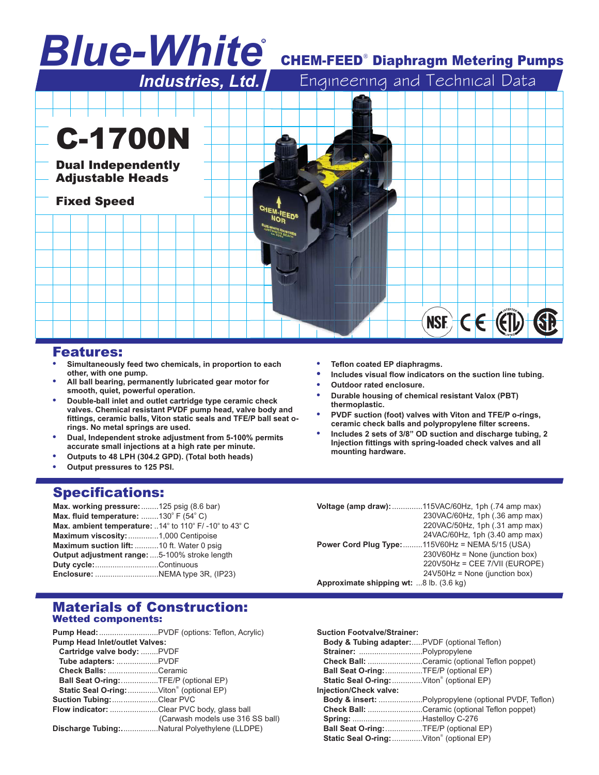# *Blue-White* R

# **CHEM-FEED<sup>®</sup> Diaphragm Metering Pumps**



#### Features:

- **. Simultaneously feed two chemicals, in proportion to each other, with one pump.**
- **. All ball bearing, permanently lubricated gear motor for smooth, quiet, powerful operation.**
- **. Double-ball inlet and outlet cartridge type ceramic check valves. Chemical resistant PVDF pump head, valve body and fittings, ceramic balls, Viton static seals and TFE/P ball seat orings. No metal springs are used.**
- **. Dual, Independent stroke adjustment from 5-100% permits accurate small injections at a high rate per minute.**
- **. Outputs to 48 LPH (304.2 GPD). (Total both heads)**
- **. Output pressures to 125 PSI.**

## Specifications:

| Max. working pressure: 125 psig (8.6 bar)                                                             |  |
|-------------------------------------------------------------------------------------------------------|--|
| Max. fluid temperature: 130° F $(54^{\circ} C)$                                                       |  |
| <b>Max. ambient temperature:</b> 14 $^{\circ}$ to 110 $^{\circ}$ F/ -10 $^{\circ}$ to 43 $^{\circ}$ C |  |
| Maximum viscosity: 1,000 Centipoise                                                                   |  |
| Maximum suction lift: 10 ft. Water 0 psig                                                             |  |
| Output adjustment range: 5-100% stroke length                                                         |  |
| Duty cycle:Continuous                                                                                 |  |
|                                                                                                       |  |

- **. Teflon coated EP diaphragms.**
- **. Includes visual flow indicators on the suction line tubing.**
- **. Outdoor rated enclosure.**
- **. Durable housing of chemical resistant Valox (PBT) thermoplastic.**
- **. PVDF suction (foot) valves with Viton and TFE/P o-rings, ceramic check balls and polypropylene filter screens.**
- **. Includes 2 sets of 3/8" OD suction and discharge tubing, 2 Injection fittings with spring-loaded check valves and all mounting hardware.**

| Voltage (amp draw):                     | .115VAC/60Hz, 1ph (.74 amp max)         |  |  |  |
|-----------------------------------------|-----------------------------------------|--|--|--|
|                                         | 230VAC/60Hz, 1ph (.36 amp max)          |  |  |  |
|                                         | 220VAC/50Hz, 1ph (.31 amp max)          |  |  |  |
|                                         | 24VAC/60Hz, 1ph (3.40 amp max)          |  |  |  |
| Power Cord Plug Type:                   | $.115V60Hz = NEMA 5/15 (USA)$           |  |  |  |
|                                         | $230\sqrt{60}$ Hz = None (junction box) |  |  |  |
|                                         | 220V50Hz = CEE 7/VII (EUROPE)           |  |  |  |
|                                         | $24V50Hz$ = None (junction box)         |  |  |  |
| Approximate shipping wt: 8 lb. (3.6 kg) |                                         |  |  |  |

#### Materials of Construction: Wetted components:

|                                            | <b>Pump Head:</b> PVDF (options: Teflon, Acrylic) |  |  |  |  |
|--------------------------------------------|---------------------------------------------------|--|--|--|--|
| <b>Pump Head Inlet/outlet Valves:</b>      |                                                   |  |  |  |  |
| Cartridge valve body: PVDF                 |                                                   |  |  |  |  |
| Tube adapters: PVDF                        |                                                   |  |  |  |  |
| Check Balls: Ceramic                       |                                                   |  |  |  |  |
| Ball Seat O-ring:TFE/P (optional EP)       |                                                   |  |  |  |  |
| Static Seal O-ring: Viton® (optional EP)   |                                                   |  |  |  |  |
| Suction Tubing: Clear PVC                  |                                                   |  |  |  |  |
| Flow indicator: Clear PVC body, glass ball |                                                   |  |  |  |  |
|                                            | (Carwash models use 316 SS ball)                  |  |  |  |  |
|                                            | Discharge Tubing:Natural Polyethylene (LLDPE)     |  |  |  |  |

| <b>Suction Footvalve/Strainer:</b><br>Body & Tubing adapter:PVDF (optional Teflon) |                                                                 |
|------------------------------------------------------------------------------------|-----------------------------------------------------------------|
|                                                                                    |                                                                 |
|                                                                                    | <b>Check Ball:</b> Ceramic (optional Teflon poppet)             |
| Ball Seat O-ring: TFE/P (optional EP)                                              |                                                                 |
| Static Seal O-ring: Viton® (optional EP)                                           |                                                                 |
| Injection/Check valve:                                                             |                                                                 |
|                                                                                    | <b>Body &amp; insert:</b> Polypropylene (optional PVDF, Teflon) |
|                                                                                    | Check Ball: Ceramic (optional Teflon poppet)                    |
|                                                                                    |                                                                 |
| Ball Seat O-ring:TFE/P (optional EP)                                               |                                                                 |
| <b>Static Seal O-ring:</b> Viton <sup>®</sup> (optional EP)                        |                                                                 |